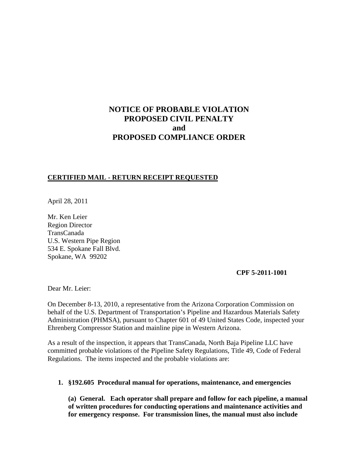# **NOTICE OF PROBABLE VIOLATION PROPOSED CIVIL PENALTY and PROPOSED COMPLIANCE ORDER**

#### **CERTIFIED MAIL - RETURN RECEIPT REQUESTED**

April 28, 2011

Mr. Ken Leier Region Director TransCanada U.S. Western Pipe Region 534 E. Spokane Fall Blvd. Spokane, WA 99202

**CPF 5-2011-1001**

Dear Mr. Leier:

On December 8-13, 2010, a representative from the Arizona Corporation Commission on behalf of the U.S. Department of Transportation's Pipeline and Hazardous Materials Safety Administration (PHMSA), pursuant to Chapter 601 of 49 United States Code, inspected your Ehrenberg Compressor Station and mainline pipe in Western Arizona.

As a result of the inspection, it appears that TransCanada, North Baja Pipeline LLC have committed probable violations of the Pipeline Safety Regulations, Title 49, Code of Federal Regulations. The items inspected and the probable violations are:

**1. §192.605 Procedural manual for operations, maintenance, and emergencies**

**(a) General. Each operator shall prepare and follow for each pipeline, a manual of written procedures for conducting operations and maintenance activities and for emergency response. For transmission lines, the manual must also include**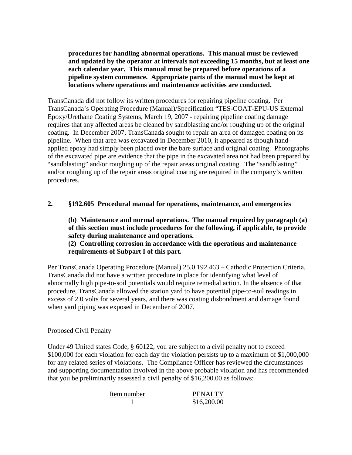**procedures for handling abnormal operations. This manual must be reviewed and updated by the operator at intervals not exceeding 15 months, but at least one each calendar year. This manual must be prepared before operations of a pipeline system commence. Appropriate parts of the manual must be kept at locations where operations and maintenance activities are conducted.**

TransCanada did not follow its written procedures for repairing pipeline coating. Per TransCanada's Operating Procedure (Manual)/Specification "TES-COAT-EPU-US External Epoxy/Urethane Coating Systems, March 19, 2007 - repairing pipeline coating damage requires that any affected areas be cleaned by sandblasting and/or roughing up of the original coating. In December 2007, TransCanada sought to repair an area of damaged coating on its pipeline. When that area was excavated in December 2010, it appeared as though handapplied epoxy had simply been placed over the bare surface and original coating. Photographs of the excavated pipe are evidence that the pipe in the excavated area not had been prepared by "sandblasting" and/or roughing up of the repair areas original coating. The "sandblasting" and/or roughing up of the repair areas original coating are required in the company's written procedures.

## **2. §192.605 Procedural manual for operations, maintenance, and emergencies**

**(b) Maintenance and normal operations. The manual required by paragraph (a) of this section must include procedures for the following, if applicable, to provide safety during maintenance and operations.**

**(2) Controlling corrosion in accordance with the operations and maintenance requirements of Subpart I of this part.**

Per TransCanada Operating Procedure (Manual) 25.0 192.463 – Cathodic Protection Criteria, TransCanada did not have a written procedure in place for identifying what level of abnormally high pipe-to-soil potentials would require remedial action. In the absence of that procedure, TransCanada allowed the station yard to have potential pipe-to-soil readings in excess of 2.0 volts for several years, and there was coating disbondment and damage found when yard piping was exposed in December of 2007.

#### Proposed Civil Penalty

Under 49 United states Code, § 60122, you are subject to a civil penalty not to exceed \$100,000 for each violation for each day the violation persists up to a maximum of \$1,000,000 for any related series of violations. The Compliance Officer has reviewed the circumstances and supporting documentation involved in the above probable violation and has recommended that you be preliminarily assessed a civil penalty of \$16,200.00 as follows:

| Item number | <b>PENALTY</b> |
|-------------|----------------|
|             | \$16,200.00    |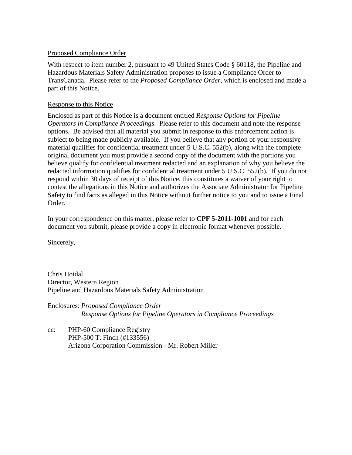### Proposed Compliance Order

With respect to item number 2, pursuant to 49 United States Code § 60118, the Pipeline and Hazardous Materials Safety Administration proposes to issue a Compliance Order to TransCanada. Please refer to the *Proposed Compliance Order*, which is enclosed and made a part of this Notice.

### Response to this Notice

Enclosed as part of this Notice is a document entitled *Response Options for Pipeline Operators in Compliance Proceedings*. Please refer to this document and note the response options. Be advised that all material you submit in response to this enforcement action is subject to being made publicly available. If you believe that any portion of your responsive material qualifies for confidential treatment under 5 U.S.C. 552(b), along with the complete original document you must provide a second copy of the document with the portions you believe qualify for confidential treatment redacted and an explanation of why you believe the redacted information qualifies for confidential treatment under 5 U.S.C. 552(b). If you do not respond within 30 days of receipt of this Notice, this constitutes a waiver of your right to contest the allegations in this Notice and authorizes the Associate Administrator for Pipeline Safety to find facts as alleged in this Notice without further notice to you and to issue a Final Order.

In your correspondence on this matter, please refer to **CPF 5-2011-1001** and for each document you submit, please provide a copy in electronic format whenever possible.

Sincerely,

Chris Hoidal Director, Western Region Pipeline and Hazardous Materials Safety Administration

Enclosures: *Proposed Compliance Order Response Options for Pipeline Operators in Compliance Proceedings*

cc: PHP-60 Compliance Registry PHP-500 T. Finch (#133556) Arizona Corporation Commission - Mr. Robert Miller